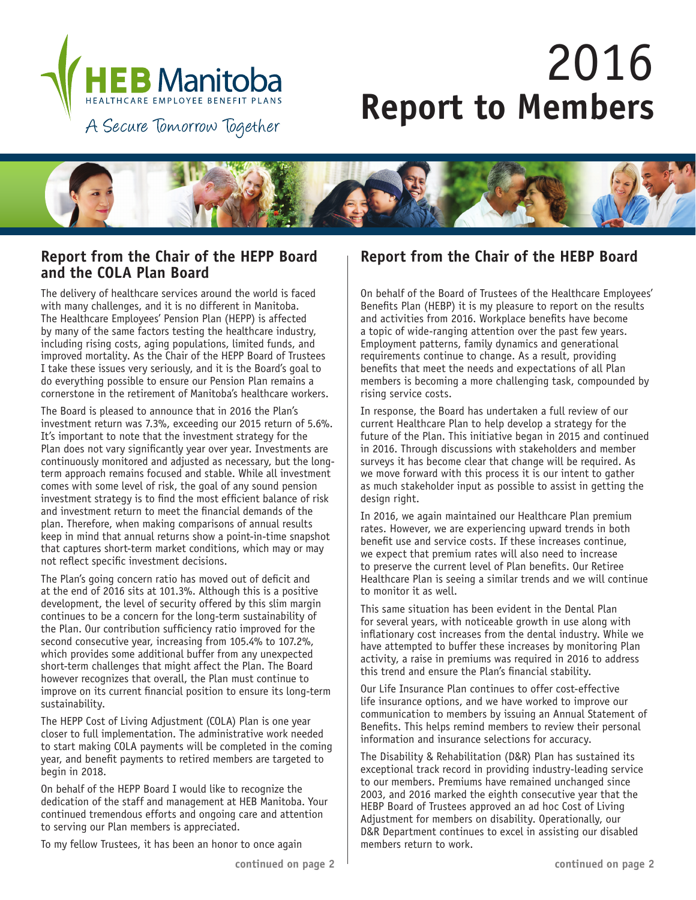

# 2016 **Report to Members**

A Secure Tomorrow Together



## **Report from the Chair of the HEPP Board and the COLA Plan Board**

The delivery of healthcare services around the world is faced with many challenges, and it is no different in Manitoba. The Healthcare Employees' Pension Plan (HEPP) is affected by many of the same factors testing the healthcare industry, including rising costs, aging populations, limited funds, and improved mortality. As the Chair of the HEPP Board of Trustees I take these issues very seriously, and it is the Board's goal to do everything possible to ensure our Pension Plan remains a cornerstone in the retirement of Manitoba's healthcare workers.

The Board is pleased to announce that in 2016 the Plan's investment return was 7.3%, exceeding our 2015 return of 5.6%. It's important to note that the investment strategy for the Plan does not vary significantly year over year. Investments are continuously monitored and adjusted as necessary, but the longterm approach remains focused and stable. While all investment comes with some level of risk, the goal of any sound pension investment strategy is to find the most efficient balance of risk and investment return to meet the financial demands of the plan. Therefore, when making comparisons of annual results keep in mind that annual returns show a point-in-time snapshot that captures short-term market conditions, which may or may not reflect specific investment decisions.

The Plan's going concern ratio has moved out of deficit and at the end of 2016 sits at 101.3%. Although this is a positive development, the level of security offered by this slim margin continues to be a concern for the long-term sustainability of the Plan. Our contribution sufficiency ratio improved for the second consecutive year, increasing from 105.4% to 107.2%, which provides some additional buffer from any unexpected short-term challenges that might affect the Plan. The Board however recognizes that overall, the Plan must continue to improve on its current financial position to ensure its long-term sustainability.

The HEPP Cost of Living Adjustment (COLA) Plan is one year closer to full implementation. The administrative work needed to start making COLA payments will be completed in the coming year, and benefit payments to retired members are targeted to begin in 2018.

On behalf of the HEPP Board I would like to recognize the dedication of the staff and management at HEB Manitoba. Your continued tremendous efforts and ongoing care and attention to serving our Plan members is appreciated.

To my fellow Trustees, it has been an honor to once again

## **Report from the Chair of the HEBP Board**

On behalf of the Board of Trustees of the Healthcare Employees' Benefits Plan (HEBP) it is my pleasure to report on the results and activities from 2016. Workplace benefits have become a topic of wide-ranging attention over the past few years. Employment patterns, family dynamics and generational requirements continue to change. As a result, providing benefits that meet the needs and expectations of all Plan members is becoming a more challenging task, compounded by rising service costs.

In response, the Board has undertaken a full review of our current Healthcare Plan to help develop a strategy for the future of the Plan. This initiative began in 2015 and continued in 2016. Through discussions with stakeholders and member surveys it has become clear that change will be required. As we move forward with this process it is our intent to gather as much stakeholder input as possible to assist in getting the design right.

In 2016, we again maintained our Healthcare Plan premium rates. However, we are experiencing upward trends in both benefit use and service costs. If these increases continue, we expect that premium rates will also need to increase to preserve the current level of Plan benefits. Our Retiree Healthcare Plan is seeing a similar trends and we will continue to monitor it as well.

This same situation has been evident in the Dental Plan for several years, with noticeable growth in use along with inflationary cost increases from the dental industry. While we have attempted to buffer these increases by monitoring Plan activity, a raise in premiums was required in 2016 to address this trend and ensure the Plan's financial stability.

Our Life Insurance Plan continues to offer cost-effective life insurance options, and we have worked to improve our communication to members by issuing an Annual Statement of Benefits. This helps remind members to review their personal information and insurance selections for accuracy.

The Disability & Rehabilitation (D&R) Plan has sustained its exceptional track record in providing industry-leading service to our members. Premiums have remained unchanged since 2003, and 2016 marked the eighth consecutive year that the HEBP Board of Trustees approved an ad hoc Cost of Living Adjustment for members on disability. Operationally, our D&R Department continues to excel in assisting our disabled members return to work.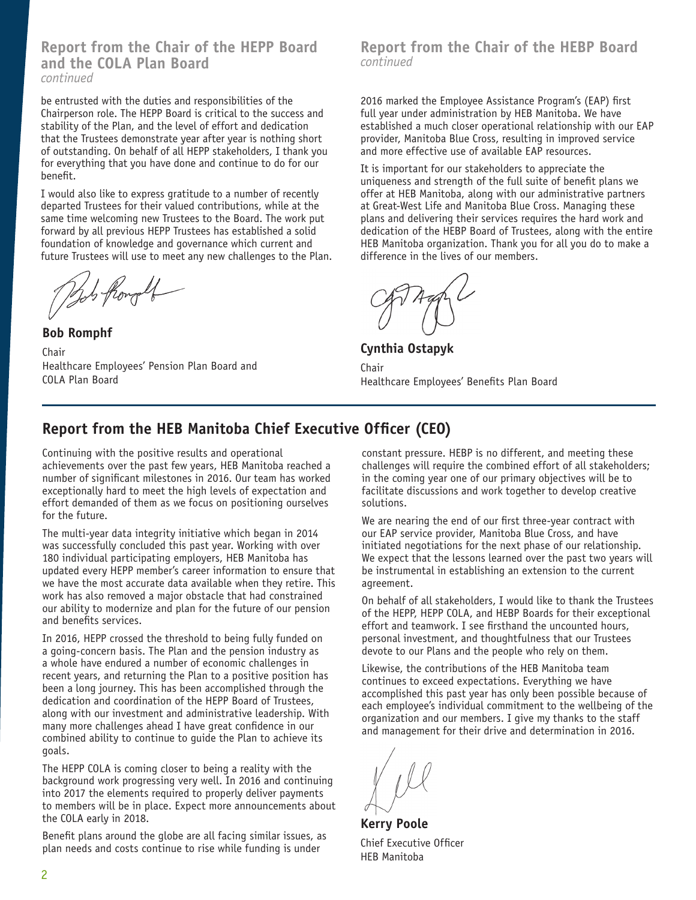**Report from the Chair of the HEPP Board and the COLA Plan Board** *continued*

be entrusted with the duties and responsibilities of the Chairperson role. The HEPP Board is critical to the success and stability of the Plan, and the level of effort and dedication that the Trustees demonstrate year after year is nothing short of outstanding. On behalf of all HEPP stakeholders, I thank you for everything that you have done and continue to do for our benefit.

I would also like to express gratitude to a number of recently departed Trustees for their valued contributions, while at the same time welcoming new Trustees to the Board. The work put forward by all previous HEPP Trustees has established a solid foundation of knowledge and governance which current and future Trustees will use to meet any new challenges to the Plan.

This from old

**Bob Romphf** Chair Healthcare Employees' Pension Plan Board and COLA Plan Board

### **Report from the Chair of the HEBP Board** *continued*

2016 marked the Employee Assistance Program's (EAP) first full year under administration by HEB Manitoba. We have established a much closer operational relationship with our EAP provider, Manitoba Blue Cross, resulting in improved service and more effective use of available EAP resources.

It is important for our stakeholders to appreciate the uniqueness and strength of the full suite of benefit plans we offer at HEB Manitoba, along with our administrative partners at Great-West Life and Manitoba Blue Cross. Managing these plans and delivering their services requires the hard work and dedication of the HEBP Board of Trustees, along with the entire HEB Manitoba organization. Thank you for all you do to make a difference in the lives of our members.

**Cynthia Ostapyk**

Chair Healthcare Employees' Benefits Plan Board

# **Report from the HEB Manitoba Chief Executive Officer (CEO)**

Continuing with the positive results and operational achievements over the past few years, HEB Manitoba reached a number of significant milestones in 2016. Our team has worked exceptionally hard to meet the high levels of expectation and effort demanded of them as we focus on positioning ourselves for the future.

The multi-year data integrity initiative which began in 2014 was successfully concluded this past year. Working with over 180 individual participating employers, HEB Manitoba has updated every HEPP member's career information to ensure that we have the most accurate data available when they retire. This work has also removed a major obstacle that had constrained our ability to modernize and plan for the future of our pension and benefits services.

In 2016, HEPP crossed the threshold to being fully funded on a going-concern basis. The Plan and the pension industry as a whole have endured a number of economic challenges in recent years, and returning the Plan to a positive position has been a long journey. This has been accomplished through the dedication and coordination of the HEPP Board of Trustees, along with our investment and administrative leadership. With many more challenges ahead I have great confidence in our combined ability to continue to guide the Plan to achieve its goals.

The HEPP COLA is coming closer to being a reality with the background work progressing very well. In 2016 and continuing into 2017 the elements required to properly deliver payments to members will be in place. Expect more announcements about the COLA early in 2018.

Benefit plans around the globe are all facing similar issues, as plan needs and costs continue to rise while funding is under

constant pressure. HEBP is no different, and meeting these challenges will require the combined effort of all stakeholders; in the coming year one of our primary objectives will be to facilitate discussions and work together to develop creative solutions.

We are nearing the end of our first three-year contract with our EAP service provider, Manitoba Blue Cross, and have initiated negotiations for the next phase of our relationship. We expect that the lessons learned over the past two years will be instrumental in establishing an extension to the current agreement.

On behalf of all stakeholders, I would like to thank the Trustees of the HEPP, HEPP COLA, and HEBP Boards for their exceptional effort and teamwork. I see firsthand the uncounted hours, personal investment, and thoughtfulness that our Trustees devote to our Plans and the people who rely on them.

Likewise, the contributions of the HEB Manitoba team continues to exceed expectations. Everything we have accomplished this past year has only been possible because of each employee's individual commitment to the wellbeing of the organization and our members. I give my thanks to the staff and management for their drive and determination in 2016.

**Kerry Poole** Chief Executive Officer HEB Manitoba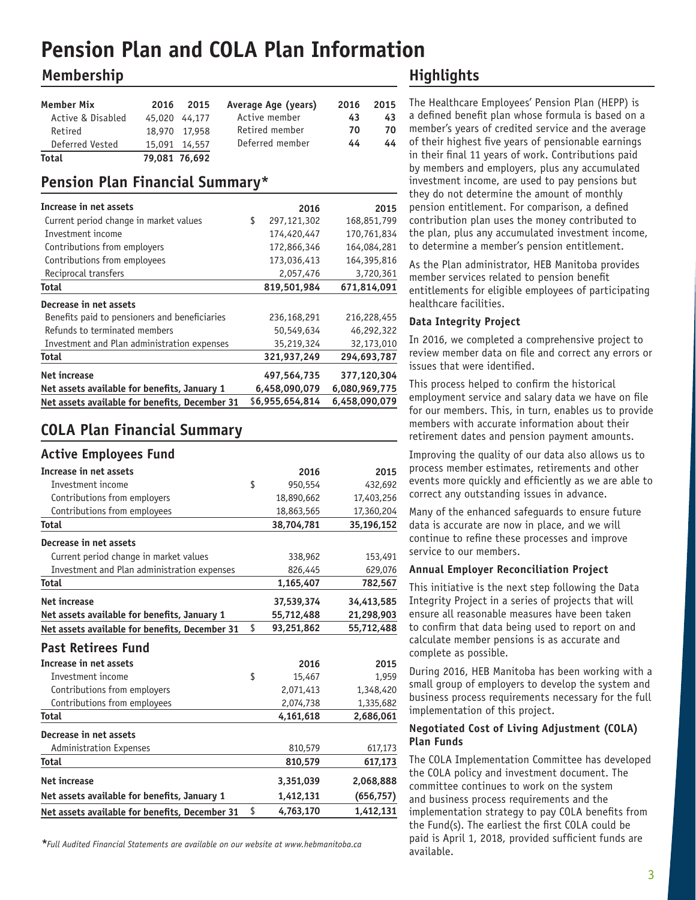# **Pension Plan and COLA Plan Information**

# **Membership**

| Member Mix        | 2016 | 2015          | Average Age (years) | 2016 | 2015 |
|-------------------|------|---------------|---------------------|------|------|
| Active & Disabled |      | 45,020 44,177 | Active member       | 43   | 43   |
| Retired           |      | 18,970 17,958 | Retired member      | 70   | 70   |
| Deferred Vested   |      | 15,091 14,557 | Deferred member     | 44   | 44   |
| Total             |      | 79.081 76.692 |                     |      |      |

# **Pension Plan Financial Summary\***

| Increase in net assets                         | 2016              | 2015          |
|------------------------------------------------|-------------------|---------------|
| Current period change in market values         | \$<br>297,121,302 | 168,851,799   |
| Investment income                              | 174,420,447       | 170,761,834   |
| Contributions from employers                   | 172,866,346       | 164,084,281   |
| Contributions from employees                   | 173,036,413       | 164,395,816   |
| Reciprocal transfers                           | 2,057,476         | 3,720,361     |
| <b>Total</b>                                   | 819,501,984       | 671,814,091   |
| Decrease in net assets                         |                   |               |
| Benefits paid to pensioners and beneficiaries  | 236,168,291       | 216,228,455   |
| Refunds to terminated members                  | 50,549,634        | 46,292,322    |
| Investment and Plan administration expenses    | 35,219,324        | 32,173,010    |
| Total                                          | 321,937,249       | 294,693,787   |
| <b>Net increase</b>                            | 497,564,735       | 377,120,304   |
| Net assets available for benefits, January 1   | 6,458,090,079     | 6,080,969,775 |
| Net assets available for benefits, December 31 | \$6,955,654,814   | 6,458,090,079 |

# **COLA Plan Financial Summary**

### **Active Employees Fund**

| 2016             | 2015       |
|------------------|------------|
| \$<br>950,554    | 432,692    |
| 18,890,662       | 17,403,256 |
| 18,863,565       | 17,360,204 |
| 38,704,781       | 35,196,152 |
|                  |            |
| 338,962          | 153,491    |
| 826,445          | 629,076    |
| 1,165,407        | 782,567    |
| 37,539,374       | 34,413,585 |
| 55,712,488       | 21,298,903 |
| \$<br>93,251,862 | 55,712,488 |
|                  |            |
| 2016             | 2015       |
| \$<br>15,467     | 1,959      |
| 2,071,413        | 1,348,420  |
| 2,074,738        | 1,335,682  |
| 4,161,618        | 2,686,061  |
|                  |            |
| 810,579          | 617,173    |
| 810,579          | 617,173    |
| 3,351,039        | 2,068,888  |
| 1,412,131        | (656, 757) |
| \$<br>4,763,170  | 1,412,131  |
|                  |            |

available. *\*Full Audited Financial Statements are available on our website at www.hebmanitoba.ca*

# **Highlights**

The Healthcare Employees' Pension Plan (HEPP) is a defined benefit plan whose formula is based on a member's years of credited service and the average of their highest five years of pensionable earnings in their final 11 years of work. Contributions paid by members and employers, plus any accumulated investment income, are used to pay pensions but they do not determine the amount of monthly pension entitlement. For comparison, a defined contribution plan uses the money contributed to the plan, plus any accumulated investment income, to determine a member's pension entitlement.

As the Plan administrator, HEB Manitoba provides member services related to pension benefit entitlements for eligible employees of participating healthcare facilities.

#### **Data Integrity Project**

In 2016, we completed a comprehensive project to review member data on file and correct any errors or issues that were identified.

This process helped to confirm the historical employment service and salary data we have on file for our members. This, in turn, enables us to provide members with accurate information about their retirement dates and pension payment amounts.

Improving the quality of our data also allows us to process member estimates, retirements and other events more quickly and efficiently as we are able to correct any outstanding issues in advance.

Many of the enhanced safeguards to ensure future data is accurate are now in place, and we will continue to refine these processes and improve service to our members.

#### **Annual Employer Reconciliation Project**

This initiative is the next step following the Data Integrity Project in a series of projects that will ensure all reasonable measures have been taken to confirm that data being used to report on and calculate member pensions is as accurate and complete as possible.

During 2016, HEB Manitoba has been working with a small group of employers to develop the system and business process requirements necessary for the full implementation of this project.

#### **Negotiated Cost of Living Adjustment (COLA) Plan Funds**

The COLA Implementation Committee has developed the COLA policy and investment document. The committee continues to work on the system and business process requirements and the implementation strategy to pay COLA benefits from the Fund(s). The earliest the first COLA could be paid is April 1, 2018, provided sufficient funds are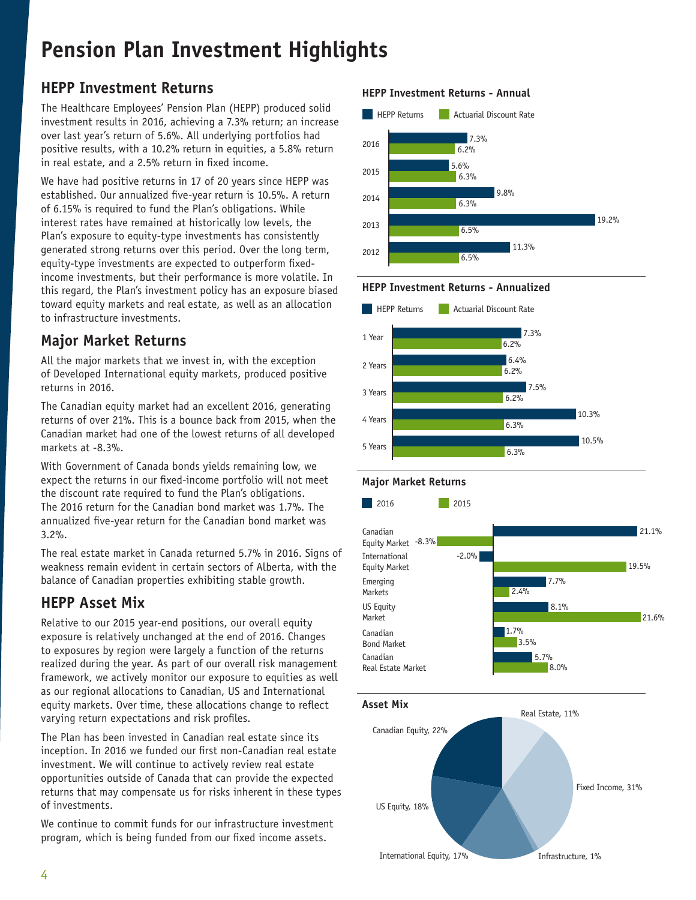# **Pension Plan Investment Highlights**

# **HEPP Investment Returns**

The Healthcare Employees' Pension Plan (HEPP) produced solid investment results in 2016, achieving a 7.3% return; an increase over last year's return of 5.6%. All underlying portfolios had positive results, with a 10.2% return in equities, a 5.8% return in real estate, and a 2.5% return in fixed income.

We have had positive returns in 17 of 20 years since HEPP was established. Our annualized five-year return is 10.5%. A return of 6.15% is required to fund the Plan's obligations. While interest rates have remained at historically low levels, the Plan's exposure to equity-type investments has consistently generated strong returns over this period. Over the long term, equity-type investments are expected to outperform fixedincome investments, but their performance is more volatile. In this regard, the Plan's investment policy has an exposure biased toward equity markets and real estate, as well as an allocation to infrastructure investments.

# **Major Market Returns**

All the major markets that we invest in, with the exception of Developed International equity markets, produced positive returns in 2016.

The Canadian equity market had an excellent 2016, generating returns of over 21%. This is a bounce back from 2015, when the Canadian market had one of the lowest returns of all developed markets at -8.3%.

With Government of Canada bonds yields remaining low, we expect the returns in our fixed-income portfolio will not meet the discount rate required to fund the Plan's obligations. The 2016 return for the Canadian bond market was 1.7%. The annualized five-year return for the Canadian bond market was 3.2%.

The real estate market in Canada returned 5.7% in 2016. Signs of weakness remain evident in certain sectors of Alberta, with the balance of Canadian properties exhibiting stable growth.

# **HEPP Asset Mix**

Relative to our 2015 year-end positions, our overall equity exposure is relatively unchanged at the end of 2016. Changes to exposures by region were largely a function of the returns realized during the year. As part of our overall risk management framework, we actively monitor our exposure to equities as well as our regional allocations to Canadian, US and International equity markets. Over time, these allocations change to reflect varying return expectations and risk profiles.

The Plan has been invested in Canadian real estate since its inception. In 2016 we funded our first non-Canadian real estate investment. We will continue to actively review real estate opportunities outside of Canada that can provide the expected returns that may compensate us for risks inherent in these types of investments.

We continue to commit funds for our infrastructure investment program, which is being funded from our fixed income assets.

### **HEPP Investment Returns - Annual**







Fixed Income, 31%

Infrastructure, 1%

US Equity, 18%

International Equity, 17%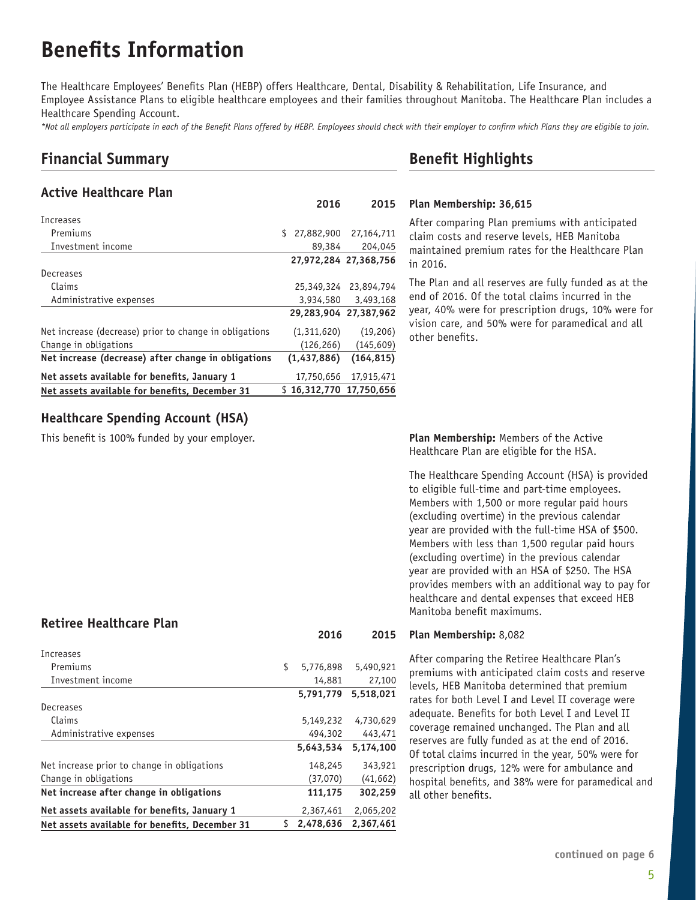# **Benefits Information**

The Healthcare Employees' Benefits Plan (HEBP) offers Healthcare, Dental, Disability & Rehabilitation, Life Insurance, and Employee Assistance Plans to eligible healthcare employees and their families throughout Manitoba. The Healthcare Plan includes a Healthcare Spending Account.

*\*Not all employers participate in each of the Benefit Plans offered by HEBP. Employees should check with their employer to confirm which Plans they are eligible to join.*

# **Financial Summary**

### **Active Healthcare Plan**

|                                                        | 2010                    | LU 19                 |
|--------------------------------------------------------|-------------------------|-----------------------|
| Increases                                              |                         |                       |
| Premiums                                               | \$                      | 27,882,900 27,164,711 |
| Investment income                                      | 89,384                  | 204,045               |
|                                                        |                         | 27,972,284 27,368,756 |
| Decreases                                              |                         |                       |
| Claims                                                 |                         | 25,349,324 23,894,794 |
| Administrative expenses                                | 3,934,580               | 3,493,168             |
|                                                        | 29,283,904 27,387,962   |                       |
| Net increase (decrease) prior to change in obligations | (1,311,620)             | (19, 206)             |
| Change in obligations                                  | (126, 266)              | (145, 609)            |
| Net increase (decrease) after change in obligations    | (1,437,886)             | (164, 815)            |
| Net assets available for benefits, January 1           | 17,750,656              | 17,915,471            |
| Net assets available for benefits, December 31         | \$16.312.770 17.750.656 |                       |

## **Healthcare Spending Account (HSA)**

This benefit is 100% funded by your employer.

### **Retiree Healthcare Plan**

| <b>Increases</b>                               |    |           |           |
|------------------------------------------------|----|-----------|-----------|
| Premiums                                       | \$ | 5,776,898 | 5,490,921 |
| Investment income                              |    | 14,881    | 27,100    |
|                                                |    | 5.791.779 | 5.518.021 |
| Decreases                                      |    |           |           |
| Claims                                         |    | 5,149,232 | 4,730,629 |
| Administrative expenses                        |    | 494,302   | 443,471   |
|                                                |    | 5,643,534 | 5,174,100 |
| Net increase prior to change in obligations    |    | 148,245   | 343,921   |
| Change in obligations                          |    | (37,070)  | (41, 662) |
| Net increase after change in obligations       |    | 111,175   | 302,259   |
| Net assets available for benefits, January 1   |    | 2,367,461 | 2,065,202 |
| Net assets available for benefits, December 31 | S. | 2,478,636 | 2.367.461 |

# **Benefit Highlights**

#### **Plan Membership: 36,615 2016 2015**

After comparing Plan premiums with anticipated claim costs and reserve levels, HEB Manitoba maintained premium rates for the Healthcare Plan in 2016.

The Plan and all reserves are fully funded as at the end of 2016. Of the total claims incurred in the year, 40% were for prescription drugs, 10% were for vision care, and 50% were for paramedical and all other benefits.

**Plan Membership:** Members of the Active Healthcare Plan are eligible for the HSA.

The Healthcare Spending Account (HSA) is provided to eligible full-time and part-time employees. Members with 1,500 or more regular paid hours (excluding overtime) in the previous calendar year are provided with the full-time HSA of \$500. Members with less than 1,500 regular paid hours (excluding overtime) in the previous calendar year are provided with an HSA of \$250. The HSA provides members with an additional way to pay for healthcare and dental expenses that exceed HEB Manitoba benefit maximums.

#### **Plan Membership:** 8,082 **2016 2015**

After comparing the Retiree Healthcare Plan's premiums with anticipated claim costs and reserve levels, HEB Manitoba determined that premium rates for both Level I and Level II coverage were adequate. Benefits for both Level I and Level II coverage remained unchanged. The Plan and all reserves are fully funded as at the end of 2016. Of total claims incurred in the year, 50% were for prescription drugs, 12% were for ambulance and hospital benefits, and 38% were for paramedical and all other benefits.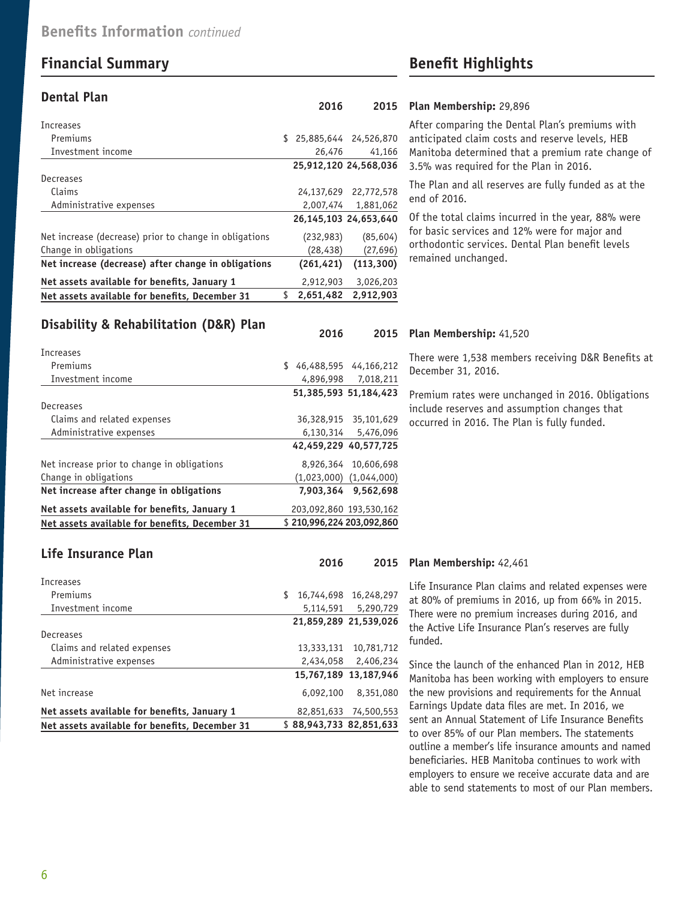# **Financial Summary Benefit Highlights**

#### **Dental Plan**

| Increases                                              |                          |                       |
|--------------------------------------------------------|--------------------------|-----------------------|
| Premiums                                               | \$ 25,885,644 24,526,870 |                       |
| Investment income                                      | 26,476                   | 41,166                |
|                                                        |                          | 25,912,120 24,568,036 |
| Decreases                                              |                          |                       |
| Claims                                                 |                          | 24,137,629 22,772,578 |
| Administrative expenses                                | 2,007,474                | 1,881,062             |
|                                                        |                          | 26,145,103 24,653,640 |
| Net increase (decrease) prior to change in obligations | (232, 983)               | (85, 604)             |
| Change in obligations                                  | (28, 438)                | (27, 696)             |
| Net increase (decrease) after change in obligations    | (261, 421)               | (113, 300)            |
| Net assets available for benefits, January 1           | 2,912,903                | 3,026,203             |
| Net assets available for benefits, December 31         | \$<br>2.651.482          | 2.912.903             |

#### **Plan Membership:** 29,896 **2016 2015**

After comparing the Dental Plan's premiums with anticipated claim costs and reserve levels, HEB Manitoba determined that a premium rate change of 3.5% was required for the Plan in 2016.

The Plan and all reserves are fully funded as at the end of 2016.

Of the total claims incurred in the year, 88% were for basic services and 12% were for major and orthodontic services. Dental Plan benefit levels remained unchanged.

### **Disability & Rehabilitation (D&R) Plan**

| Increases                                      |    |                           |                             |
|------------------------------------------------|----|---------------------------|-----------------------------|
| Premiums                                       | S. |                           | 46,488,595 44,166,212       |
| Investment income                              |    |                           | 4,896,998 7,018,211         |
|                                                |    |                           | 51.385.593 51.184.423       |
| Decreases                                      |    |                           |                             |
| Claims and related expenses                    |    |                           | 36,328,915 35,101,629       |
| Administrative expenses                        |    |                           | 6,130,314 5,476,096         |
|                                                |    |                           | 42,459,229 40,577,725       |
| Net increase prior to change in obligations    |    |                           | 8,926,364 10,606,698        |
| Change in obligations                          |    |                           | $(1,023,000)$ $(1,044,000)$ |
| Net increase after change in obligations       |    |                           | 7,903,364 9,562,698         |
| Net assets available for benefits, January 1   |    | 203,092,860 193,530,162   |                             |
| Net assets available for benefits, December 31 |    | \$210.996.224 203.092.860 |                             |

### **Plan Membership:** 41,520 **2016 2015**

There were 1,538 members receiving D&R Benefits at December 31, 2016.

Premium rates were unchanged in 2016. Obligations include reserves and assumption changes that occurred in 2016. The Plan is fully funded.

### **Life Insurance Plan**

| Increases                                      |   |            |                         |
|------------------------------------------------|---|------------|-------------------------|
| Premiums                                       | S | 16,744,698 | 16,248,297              |
| Investment income                              |   | 5,114,591  | 5,290,729               |
|                                                |   |            | 21.859.289 21.539.026   |
| Decreases                                      |   |            |                         |
| Claims and related expenses                    |   | 13,333,131 | 10,781,712              |
| Administrative expenses                        |   |            | 2,434,058 2,406,234     |
|                                                |   |            | 15,767,189 13,187,946   |
| Net increase                                   |   | 6,092,100  | 8,351,080               |
| Net assets available for benefits, January 1   |   | 82,851,633 | 74,500,553              |
| Net assets available for benefits, December 31 |   |            | \$88.943.733 82.851.633 |

#### **Plan Membership:** 42,461 **2016 2015**

Life Insurance Plan claims and related expenses were at 80% of premiums in 2016, up from 66% in 2015. There were no premium increases during 2016, and the Active Life Insurance Plan's reserves are fully funded.

Since the launch of the enhanced Plan in 2012, HEB Manitoba has been working with employers to ensure the new provisions and requirements for the Annual Earnings Update data files are met. In 2016, we sent an Annual Statement of Life Insurance Benefits to over 85% of our Plan members. The statements outline a member's life insurance amounts and named beneficiaries. HEB Manitoba continues to work with employers to ensure we receive accurate data and are able to send statements to most of our Plan members.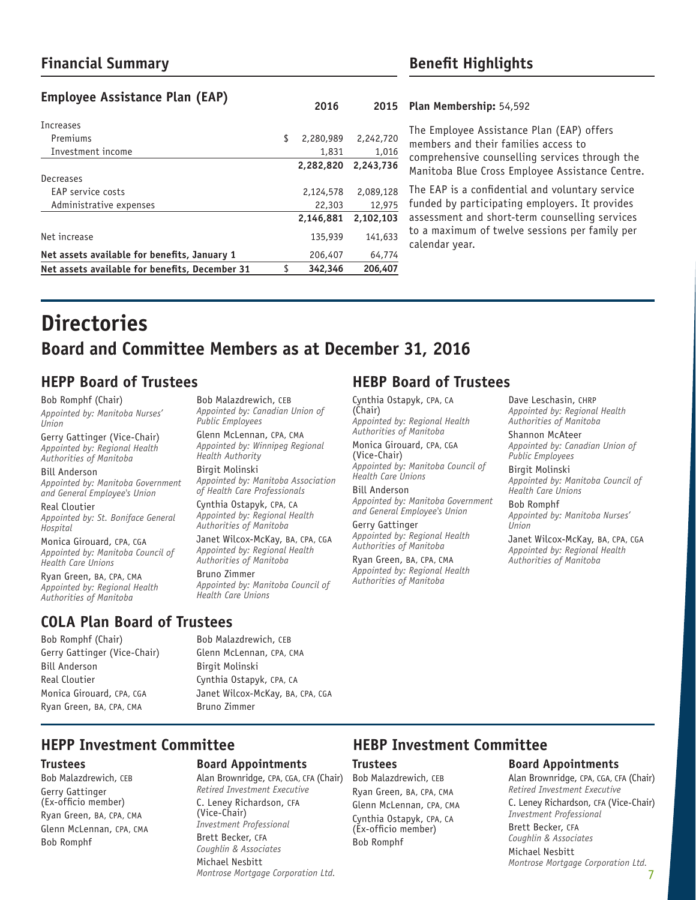# **Financial Summary Benefit Highlights**

## **Employee Assistance Plan (EAP)**

| Increases                                      |                 |           |
|------------------------------------------------|-----------------|-----------|
| Premiums                                       | \$<br>2,280,989 | 2,242,720 |
| Investment income                              | 1,831           | 1.016     |
|                                                | 2.282.820       | 2,243,736 |
| Decreases                                      |                 |           |
| EAP service costs                              | 2,124,578       | 2,089,128 |
| Administrative expenses                        | 22,303          | 12,975    |
|                                                | 2.146.881       | 2,102,103 |
| Net increase                                   | 135,939         | 141,633   |
| Net assets available for benefits, January 1   | 206,407         | 64,774    |
| Net assets available for benefits, December 31 | \$<br>342,346   | 206,407   |
|                                                |                 |           |

#### **Plan Membership:** 54,592 **2016 2015**

The Employee Assistance Plan (EAP) offers members and their families access to comprehensive counselling services through the Manitoba Blue Cross Employee Assistance Centre.

The EAP is a confidential and voluntary service funded by participating employers. It provides assessment and short-term counselling services to a maximum of twelve sessions per family per calendar year.

# **Directories Board and Committee Members as at December 31, 2016**

# **HEPP Board of Trustees HEBP Board of Trustees**

Bob Romphf (Chair) *Appointed by: Manitoba Nurses' Union* 

Gerry Gattinger (Vice-Chair) *Appointed by: Regional Health Authorities of Manitoba*

Bill Anderson *Appointed by: Manitoba Government and General Employee's Union* 

Real Cloutier *Appointed by: St. Boniface General Hospital*

Monica Girouard, CPA, CGA *Appointed by: Manitoba Council of Health Care Unions*

Ryan Green, BA, CPA, CMA *Appointed by: Regional Health Authorities of Manitoba*

# **COLA Plan Board of Trustees**

Bob Romphf (Chair) Gerry Gattinger (Vice-Chair) Bill Anderson Real Cloutier Monica Girouard, CPA, CGA Ryan Green, BA, CPA, CMA

Bob Malazdrewich, CEB *Appointed by: Canadian Union of Public Employees*

Glenn McLennan, CPA, CMA *Appointed by: Winnipeg Regional Health Authority*

Birgit Molinski *Appointed by: Manitoba Association of Health Care Professionals*

Cynthia Ostapyk, CPA, CA *Appointed by: Regional Health Authorities of Manitoba*

Janet Wilcox-McKay, BA, CPA, CGA *Appointed by: Regional Health Authorities of Manitoba*

Bruno Zimmer *Appointed by: Manitoba Council of Health Care Unions*

Bob Malazdrewich, CEB Glenn McLennan, CPA, CMA

Cynthia Ostapyk, CPA, CA Janet Wilcox-McKay, BA, CPA, CGA

Birgit Molinski

Bruno Zimmer

Cynthia Ostapyk, CPA, CA (Chair) *Appointed by: Regional Health Authorities of Manitoba*

Monica Girouard, CPA, CGA (Vice-Chair) *Appointed by: Manitoba Council of Health Care Unions*

Bill Anderson *Appointed by: Manitoba Government and General Employee's Union* 

Gerry Gattinger *Appointed by: Regional Health Authorities of Manitoba*

Ryan Green, BA, CPA, CMA *Appointed by: Regional Health Authorities of Manitoba*

Dave Leschasin, CHRP *Appointed by: Regional Health Authorities of Manitoba*

Shannon McAteer *Appointed by: Canadian Union of Public Employees*

Birgit Molinski *Appointed by: Manitoba Council of Health Care Unions*

Bob Romphf *Appointed by: Manitoba Nurses' Union*

Janet Wilcox-McKay, BA, CPA, CGA *Appointed by: Regional Health Authorities of Manitoba*

#### **Trustees**

Bob Malazdrewich, CEB Gerry Gattinger (Ex-officio member) Ryan Green, BA, CPA, CMA Glenn McLennan, CPA, CMA Bob Romphf

### **Board Appointments**

Alan Brownridge, CPA, CGA, CFA (Chair) *Retired Investment Executive*  C. Leney Richardson, CFA (Vice-Chair) *Investment Professional*  Brett Becker, CFA *Coughlin & Associates* Michael Nesbitt *Montrose Mortgage Corporation Ltd.*

# **HEPP Investment Committee HEBP Investment Committee**

#### **Trustees**

Bob Malazdrewich, CEB Ryan Green, BA, CPA, CMA Glenn McLennan, CPA, CMA Cynthia Ostapyk, CPA, CA (Ex-officio member) Bob Romphf

#### **Board Appointments**

Alan Brownridge, CPA, CGA, CFA (Chair) *Retired Investment Executive* C. Leney Richardson, CFA (Vice-Chair) *Investment Professional* 

Brett Becker, CFA *Coughlin & Associates* Michael Nesbitt *Montrose Mortgage Corporation Ltd.*

7